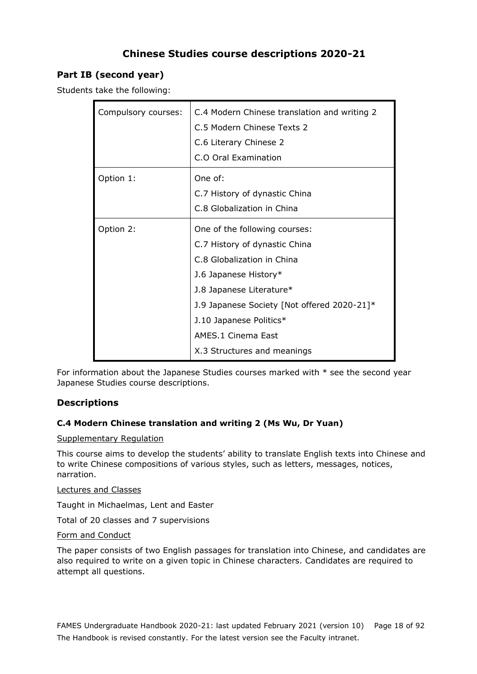# **Chinese Studies course descriptions 2020-21**

# **Part IB (second year)**

Students take the following:

| Compulsory courses: | C.4 Modern Chinese translation and writing 2<br>C.5 Modern Chinese Texts 2<br>C.6 Literary Chinese 2<br>C.O Oral Examination                                                                                                                                                     |
|---------------------|----------------------------------------------------------------------------------------------------------------------------------------------------------------------------------------------------------------------------------------------------------------------------------|
| Option 1:           | One of:<br>C.7 History of dynastic China<br>C.8 Globalization in China                                                                                                                                                                                                           |
| Option 2:           | One of the following courses:<br>C.7 History of dynastic China<br>C.8 Globalization in China<br>J.6 Japanese History*<br>1.8 Japanese Literature*<br>J.9 Japanese Society [Not offered 2020-21]*<br>J.10 Japanese Politics*<br>AMES.1 Cinema East<br>X.3 Structures and meanings |

For information about the Japanese Studies courses marked with \* see the second year Japanese Studies course descriptions.

# **Descriptions**

### **C.4 Modern Chinese translation and writing 2 (Ms Wu, Dr Yuan)**

### Supplementary Regulation

This course aims to develop the students' ability to translate English texts into Chinese and to write Chinese compositions of various styles, such as letters, messages, notices, narration.

### Lectures and Classes

Taught in Michaelmas, Lent and Easter

Total of 20 classes and 7 supervisions

### Form and Conduct

The paper consists of two English passages for translation into Chinese, and candidates are also required to write on a given topic in Chinese characters. Candidates are required to attempt all questions.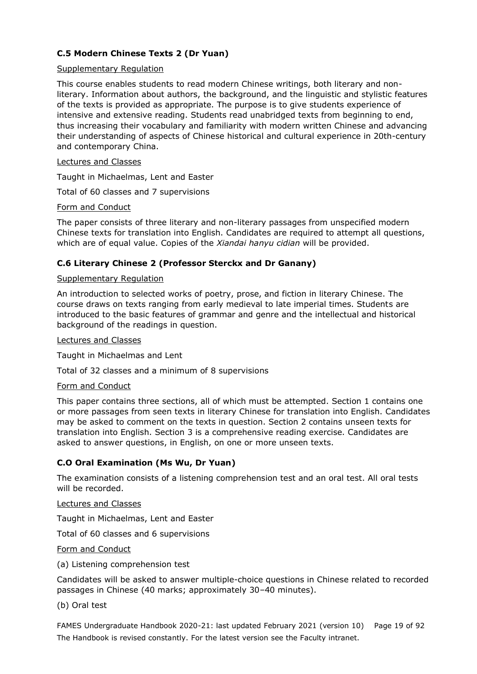# **C.5 Modern Chinese Texts 2 (Dr Yuan)**

### Supplementary Regulation

This course enables students to read modern Chinese writings, both literary and nonliterary. Information about authors, the background, and the linguistic and stylistic features of the texts is provided as appropriate. The purpose is to give students experience of intensive and extensive reading. Students read unabridged texts from beginning to end, thus increasing their vocabulary and familiarity with modern written Chinese and advancing their understanding of aspects of Chinese historical and cultural experience in 20th-century and contemporary China.

### Lectures and Classes

Taught in Michaelmas, Lent and Easter

Total of 60 classes and 7 supervisions

### Form and Conduct

The paper consists of three literary and non-literary passages from unspecified modern Chinese texts for translation into English. Candidates are required to attempt all questions, which are of equal value. Copies of the *Xiandai hanyu cidian* will be provided.

### **C.6 Literary Chinese 2 (Professor Sterckx and Dr Ganany)**

### Supplementary Regulation

An introduction to selected works of poetry, prose, and fiction in literary Chinese. The course draws on texts ranging from early medieval to late imperial times. Students are introduced to the basic features of grammar and genre and the intellectual and historical background of the readings in question.

### Lectures and Classes

Taught in Michaelmas and Lent

Total of 32 classes and a minimum of 8 supervisions

### Form and Conduct

This paper contains three sections, all of which must be attempted. Section 1 contains one or more passages from seen texts in literary Chinese for translation into English. Candidates may be asked to comment on the texts in question. Section 2 contains unseen texts for translation into English. Section 3 is a comprehensive reading exercise. Candidates are asked to answer questions, in English, on one or more unseen texts.

### **C.O Oral Examination (Ms Wu, Dr Yuan)**

The examination consists of a listening comprehension test and an oral test. All oral tests will be recorded.

Lectures and Classes

Taught in Michaelmas, Lent and Easter

Total of 60 classes and 6 supervisions

### Form and Conduct

(a) Listening comprehension test

Candidates will be asked to answer multiple-choice questions in Chinese related to recorded passages in Chinese (40 marks; approximately 30–40 minutes).

### (b) Oral test

FAMES Undergraduate Handbook 2020-21: last updated February 2021 (version 10) Page 19 of 92 The Handbook is revised constantly. For the latest version see the Faculty intranet.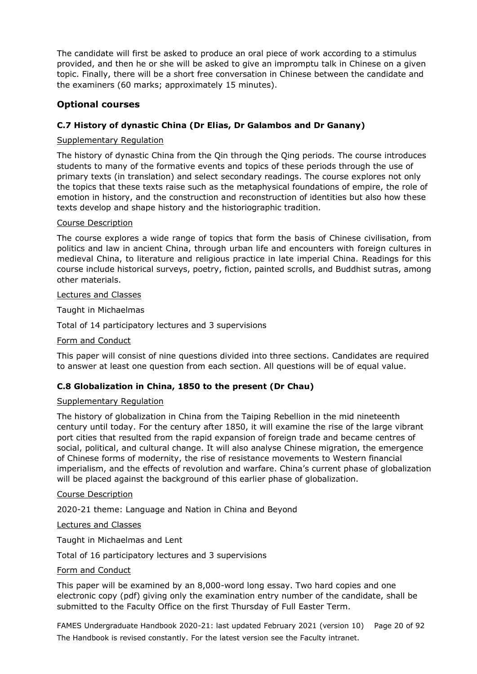The candidate will first be asked to produce an oral piece of work according to a stimulus provided, and then he or she will be asked to give an impromptu talk in Chinese on a given topic. Finally, there will be a short free conversation in Chinese between the candidate and the examiners (60 marks; approximately 15 minutes).

# **Optional courses**

### **C.7 History of dynastic China (Dr Elias, Dr Galambos and Dr Ganany)**

### Supplementary Regulation

The history of dynastic China from the Qin through the Qing periods. The course introduces students to many of the formative events and topics of these periods through the use of primary texts (in translation) and select secondary readings. The course explores not only the topics that these texts raise such as the metaphysical foundations of empire, the role of emotion in history, and the construction and reconstruction of identities but also how these texts develop and shape history and the historiographic tradition.

### Course Description

The course explores a wide range of topics that form the basis of Chinese civilisation, from politics and law in ancient China, through urban life and encounters with foreign cultures in medieval China, to literature and religious practice in late imperial China. Readings for this course include historical surveys, poetry, fiction, painted scrolls, and Buddhist sutras, among other materials.

### Lectures and Classes

Taught in Michaelmas

Total of 14 participatory lectures and 3 supervisions

### Form and Conduct

This paper will consist of nine questions divided into three sections. Candidates are required to answer at least one question from each section. All questions will be of equal value.

### **C.8 Globalization in China, 1850 to the present (Dr Chau)**

### Supplementary Regulation

The history of globalization in China from the Taiping Rebellion in the mid nineteenth century until today. For the century after 1850, it will examine the rise of the large vibrant port cities that resulted from the rapid expansion of foreign trade and became centres of social, political, and cultural change. It will also analyse Chinese migration, the emergence of Chinese forms of modernity, the rise of resistance movements to Western financial imperialism, and the effects of revolution and warfare. China's current phase of globalization will be placed against the background of this earlier phase of globalization.

### Course Description

2020-21 theme: Language and Nation in China and Beyond

### Lectures and Classes

Taught in Michaelmas and Lent

Total of 16 participatory lectures and 3 supervisions

### Form and Conduct

This paper will be examined by an 8,000-word long essay. Two hard copies and one electronic copy (pdf) giving only the examination entry number of the candidate, shall be submitted to the Faculty Office on the first Thursday of Full Easter Term.

FAMES Undergraduate Handbook 2020-21: last updated February 2021 (version 10) Page 20 of 92 The Handbook is revised constantly. For the latest version see the Faculty intranet.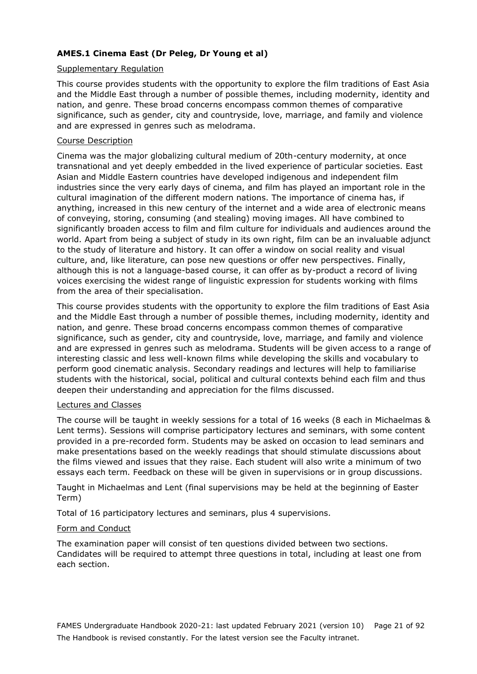# **AMES.1 Cinema East (Dr Peleg, Dr Young et al)**

### Supplementary Regulation

This course provides students with the opportunity to explore the film traditions of East Asia and the Middle East through a number of possible themes, including modernity, identity and nation, and genre. These broad concerns encompass common themes of comparative significance, such as gender, city and countryside, love, marriage, and family and violence and are expressed in genres such as melodrama.

### Course Description

Cinema was the major globalizing cultural medium of 20th-century modernity, at once transnational and yet deeply embedded in the lived experience of particular societies. East Asian and Middle Eastern countries have developed indigenous and independent film industries since the very early days of cinema, and film has played an important role in the cultural imagination of the different modern nations. The importance of cinema has, if anything, increased in this new century of the internet and a wide area of electronic means of conveying, storing, consuming (and stealing) moving images. All have combined to significantly broaden access to film and film culture for individuals and audiences around the world. Apart from being a subject of study in its own right, film can be an invaluable adjunct to the study of literature and history. It can offer a window on social reality and visual culture, and, like literature, can pose new questions or offer new perspectives. Finally, although this is not a language-based course, it can offer as by-product a record of living voices exercising the widest range of linguistic expression for students working with films from the area of their specialisation.

This course provides students with the opportunity to explore the film traditions of East Asia and the Middle East through a number of possible themes, including modernity, identity and nation, and genre. These broad concerns encompass common themes of comparative significance, such as gender, city and countryside, love, marriage, and family and violence and are expressed in genres such as melodrama. Students will be given access to a range of interesting classic and less well-known films while developing the skills and vocabulary to perform good cinematic analysis. Secondary readings and lectures will help to familiarise students with the historical, social, political and cultural contexts behind each film and thus deepen their understanding and appreciation for the films discussed.

### Lectures and Classes

The course will be taught in weekly sessions for a total of 16 weeks (8 each in Michaelmas & Lent terms). Sessions will comprise participatory lectures and seminars, with some content provided in a pre-recorded form. Students may be asked on occasion to lead seminars and make presentations based on the weekly readings that should stimulate discussions about the films viewed and issues that they raise. Each student will also write a minimum of two essays each term. Feedback on these will be given in supervisions or in group discussions.

Taught in Michaelmas and Lent (final supervisions may be held at the beginning of Easter Term)

Total of 16 participatory lectures and seminars, plus 4 supervisions.

### Form and Conduct

The examination paper will consist of ten questions divided between two sections. Candidates will be required to attempt three questions in total, including at least one from each section.